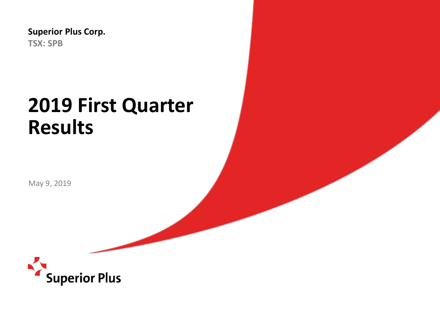**Superior Plus Corp. TSX: SPB**

# **2019 First Quarter Results**

May 9, 2019

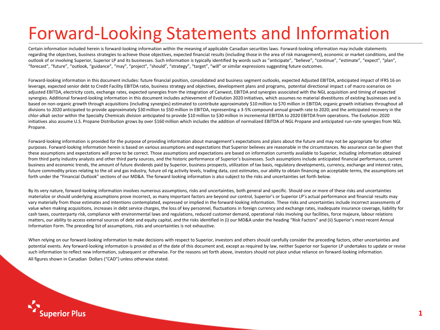## Forward-Looking Statements and Information

Certain information included herein is forward-looking information within the meaning of applicable Canadian securities laws. Forward-looking information may include statements regarding the objectives, business strategies to achieve those objectives, expected financial results (including those in the area of risk management), economic or market conditions, and the outlook of or involving Superior, Superior LP and its businesses. Such information is typically identified by words such as "anticipate", "believe", "continue", "estimate", "expect", "plan", "forecast", "future", "outlook, "guidance", "may", "project", "should", "strategy", "target", "will" or similar expressions suggesting future outcomes.

Forward-looking information in this document includes: future financial position, consolidated and business segment outlooks, expected Adjusted EBITDA, anticipated impact of IFRS 16 on leverage, expected senior debt to Credit Facility EBITDA ratio, business strategy and objectives, development plans and programs, potential directional impact s of macro scenarios on adjusted EBITDA, electricity costs, exchange rates, expected synergies from the integration of Canwest, EBITDA and synergies associated with the NGL acquisition and timing of expected synergies. Additional forward-looking information in this document includes achievement of Evolution 2020 initiatives, which assumes no material divestitures of existing businesses and is based on non-organic growth through acquisitions (including synergies) estimated to contribute approximately \$10 million to \$70 million in EBITDA; organic growth initiatives throughout all divisions to 2020 anticipated to provide approximately \$30 million to \$50 million in EBITDA, representing a 3-5% compound annual growth rate to 2020; and the anticipated recovery in the chlor-alkali sector within the Specialty Chemicals division anticipated to provide \$10 million to \$30 million in incremental EBITDA to 2020 EBITDA from operations. The Evolution 2020 initiatives also assume U.S. Propane Distribution grows by over \$160 million which includes the addition of normalized EBITDA of NGL Propane and anticipated run-rate synergies from NGL Propane.

Forward-looking information is provided for the purpose of providing information about management's expectations and plans about the future and may not be appropriate for other purposes. Forward-looking information herein is based on various assumptions and expectations that Superior believes are reasonable in the circumstances. No assurance can be given that these assumptions and expectations will prove to be correct. Those assumptions and expectations are based on information currently available to Superior, including information obtained from third party industry analysts and other third party sources, and the historic performance of Superior's businesses. Such assumptions include anticipated financial performance, current business and economic trends, the amount of future dividends paid by Superior, business prospects, utilization of tax basis, regulatory developments, currency, exchange and interest rates, future commodity prices relating to the oil and gas industry, future oil rig activity levels, trading data, cost estimates, our ability to obtain financing on acceptable terms, the assumptions set forth under the "Financial Outlook" sections of our MD&A. The forward looking information is also subject to the risks and uncertainties set forth below.

By its very nature, forward-looking information involves numerous assumptions, risks and uncertainties, both general and specific. Should one or more of these risks and uncertainties materialize or should underlying assumptions prove incorrect, as many important factors are beyond our control, Superior's or Superior LP's actual performance and financial results may vary materially from those estimates and intentions contemplated, expressed or implied in the forward-looking information. These risks and uncertainties include incorrect assessments of value when making acquisitions, increases in debt service charges, the loss of key personnel, fluctuations in foreign currency and exchange rates, inadequate insurance coverage, liability for cash taxes, counterparty risk, compliance with environmental laws and regulations, reduced customer demand, operational risks involving our facilities, force majeure, labour relations matters, our ability to access external sources of debt and equity capital, and the risks identified in (i) our MD&A under the heading "Risk Factors" and (ii) Superior's most recent Annual Information Form. The preceding list of assumptions, risks and uncertainties is not exhaustive.

When relying on our forward-looking information to make decisions with respect to Superior, investors and others should carefully consider the preceding factors, other uncertainties and potential events. Any forward-looking information is provided as of the date of this document and, except as required by law, neither Superior nor Superior LP undertakes to update or revise such information to reflect new information, subsequent or otherwise. For the reasons set forth above, investors should not place undue reliance on forward-looking information. All figures shown in Canadian Dollars ("CAD") unless otherwise stated.

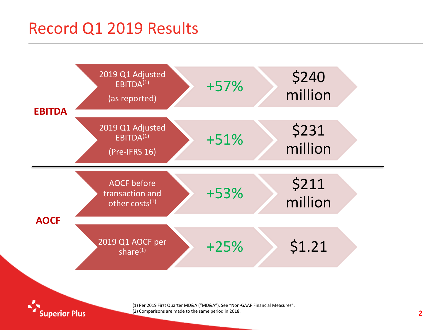### Record Q1 2019 Results

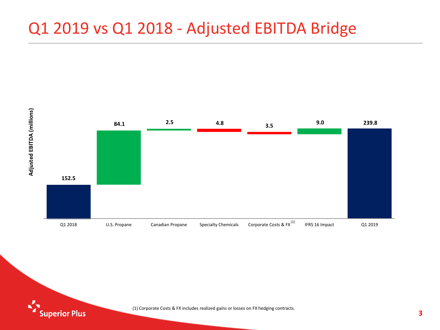### Q1 2019 vs Q1 2018 - Adjusted EBITDA Bridge





(1) Corporate Costs & FX includes realized gains or losses on FX hedging contracts.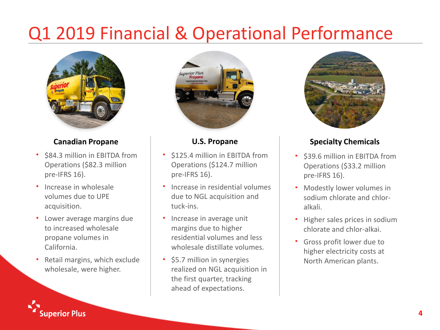## Q1 2019 Financial & Operational Performance



### **Canadian Propane U.S. Propane**

- \$84.3 million in EBITDA from Operations (\$82.3 million pre-IFRS 16).
- Increase in wholesale volumes due to UPE acquisition.
- Lower average margins due to increased wholesale propane volumes in California.
- Retail margins, which exclude wholesale, were higher.

uperior Plus



- \$125.4 million in EBITDA from Operations (\$124.7 million pre-IFRS 16).
- Increase in residential volumes due to NGL acquisition and tuck-ins.
- Increase in average unit margins due to higher residential volumes and less wholesale distillate volumes.
- \$5.7 million in synergies realized on NGL acquisition in the first quarter, tracking ahead of expectations.



### **Specialty Chemicals**

- \$39.6 million in EBITDA from Operations (\$33.2 million pre-IFRS 16).
- Modestly lower volumes in sodium chlorate and chloralkali.
- Higher sales prices in sodium chlorate and chlor-alkai.
- Gross profit lower due to higher electricity costs at North American plants.

**4**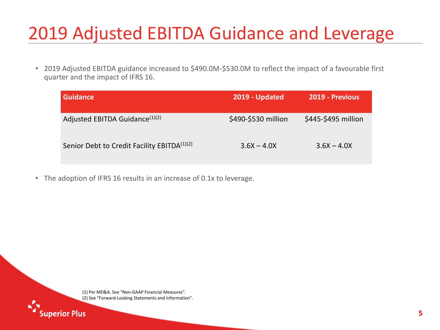# 2019 Adjusted EBITDA Guidance and Leverage

• 2019 Adjusted EBITDA guidance increased to \$490.0M-\$530.0M to reflect the impact of a favourable first quarter and the impact of IFRS 16.

| Guidance                                                 | 2019 - Updated      | 2019 - Previous     |
|----------------------------------------------------------|---------------------|---------------------|
| Adjusted EBITDA Guidance <sup>(1)(2)</sup>               | \$490-\$530 million | \$445-\$495 million |
| Senior Debt to Credit Facility EBITDA <sup>(1)</sup> (2) | $3.6X - 4.0X$       | $3.6X - 4.0X$       |

• The adoption of IFRS 16 results in an increase of 0.1x to leverage.

(1) Per MD&A. See "Non-GAAP Financial Measures". (2) See "Forward-Looking Statements and Information".



**5**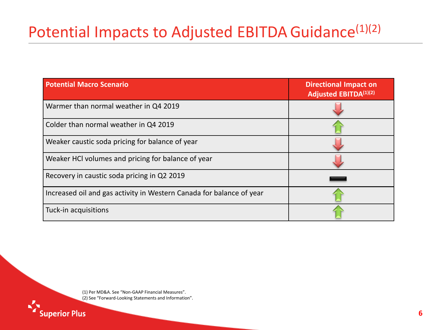## Potential Impacts to Adjusted EBITDA Guidance<sup>(1)(2)</sup>

| <b>Potential Macro Scenario</b>                                      | <b>Directional Impact on</b><br><b>Adjusted EBITDA(1)(2)</b> |
|----------------------------------------------------------------------|--------------------------------------------------------------|
| Warmer than normal weather in Q4 2019                                |                                                              |
| Colder than normal weather in Q4 2019                                |                                                              |
| Weaker caustic soda pricing for balance of year                      |                                                              |
| Weaker HCI volumes and pricing for balance of year                   |                                                              |
| Recovery in caustic soda pricing in Q2 2019                          |                                                              |
| Increased oil and gas activity in Western Canada for balance of year |                                                              |
| Tuck-in acquisitions                                                 |                                                              |

(1) Per MD&A. See "Non-GAAP Financial Measures". (2) See "Forward-Looking Statements and Information".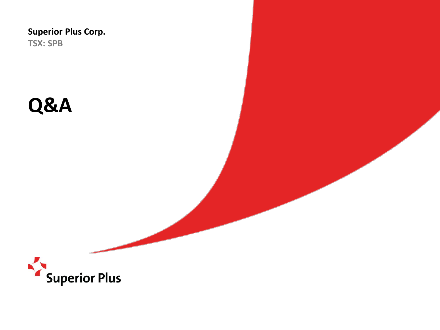### **Superior Plus Corp.**

**TSX: SPB**

# **Q&A**